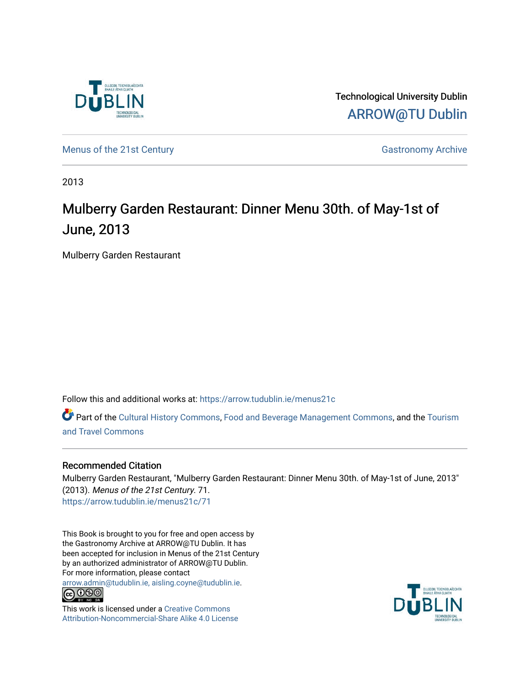

Technological University Dublin [ARROW@TU Dublin](https://arrow.tudublin.ie/) 

[Menus of the 21st Century](https://arrow.tudublin.ie/menus21c) Gastronomy Archive

2013

# Mulberry Garden Restaurant: Dinner Menu 30th. of May-1st of June, 2013

Mulberry Garden Restaurant

Follow this and additional works at: [https://arrow.tudublin.ie/menus21c](https://arrow.tudublin.ie/menus21c?utm_source=arrow.tudublin.ie%2Fmenus21c%2F71&utm_medium=PDF&utm_campaign=PDFCoverPages) 

Part of the [Cultural History Commons](http://network.bepress.com/hgg/discipline/496?utm_source=arrow.tudublin.ie%2Fmenus21c%2F71&utm_medium=PDF&utm_campaign=PDFCoverPages), [Food and Beverage Management Commons,](http://network.bepress.com/hgg/discipline/1089?utm_source=arrow.tudublin.ie%2Fmenus21c%2F71&utm_medium=PDF&utm_campaign=PDFCoverPages) and the [Tourism](http://network.bepress.com/hgg/discipline/1082?utm_source=arrow.tudublin.ie%2Fmenus21c%2F71&utm_medium=PDF&utm_campaign=PDFCoverPages) [and Travel Commons](http://network.bepress.com/hgg/discipline/1082?utm_source=arrow.tudublin.ie%2Fmenus21c%2F71&utm_medium=PDF&utm_campaign=PDFCoverPages)

# Recommended Citation

Mulberry Garden Restaurant, "Mulberry Garden Restaurant: Dinner Menu 30th. of May-1st of June, 2013" (2013). Menus of the 21st Century. 71. [https://arrow.tudublin.ie/menus21c/71](https://arrow.tudublin.ie/menus21c/71?utm_source=arrow.tudublin.ie%2Fmenus21c%2F71&utm_medium=PDF&utm_campaign=PDFCoverPages)

This Book is brought to you for free and open access by the Gastronomy Archive at ARROW@TU Dublin. It has been accepted for inclusion in Menus of the 21st Century by an authorized administrator of ARROW@TU Dublin. For more information, please contact

[arrow.admin@tudublin.ie, aisling.coyne@tudublin.ie](mailto:arrow.admin@tudublin.ie,%20aisling.coyne@tudublin.ie).<br>
co 000



This work is licensed under a [Creative Commons](http://creativecommons.org/licenses/by-nc-sa/4.0/) [Attribution-Noncommercial-Share Alike 4.0 License](http://creativecommons.org/licenses/by-nc-sa/4.0/)

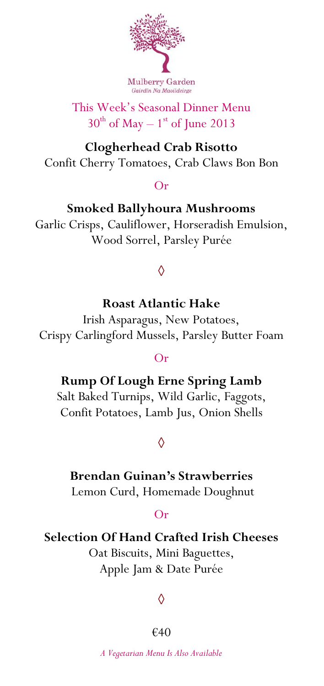

# This Week's Seasonal Dinner Menu  $30<sup>th</sup>$  of May – 1<sup>st</sup> of June 2013

### **Clogherhead Crab Risotto** Confit Cherry Tomatoes, Crab Claws Bon Bon

#### Or

**Smoked Ballyhoura Mushrooms** Garlic Crisps, Cauliflower, Horseradish Emulsion, Wood Sorrel, Parsley Purée

# **◊**

## **Roast Atlantic Hake**

Irish Asparagus, New Potatoes, Crispy Carlingford Mussels, Parsley Butter Foam

#### Or

**Rump Of Lough Erne Spring Lamb** Salt Baked Turnips, Wild Garlic, Faggots,

Confit Potatoes, Lamb Jus, Onion Shells

## **◊**

#### **Brendan Guinan's Strawberries**

Lemon Curd, Homemade Doughnut

#### Or

#### **Selection Of Hand Crafted Irish Cheeses**

Oat Biscuits, Mini Baguettes, Apple Jam & Date Purée

## **◊**

#### €40

*A Vegetarian Menu Is Also Available*